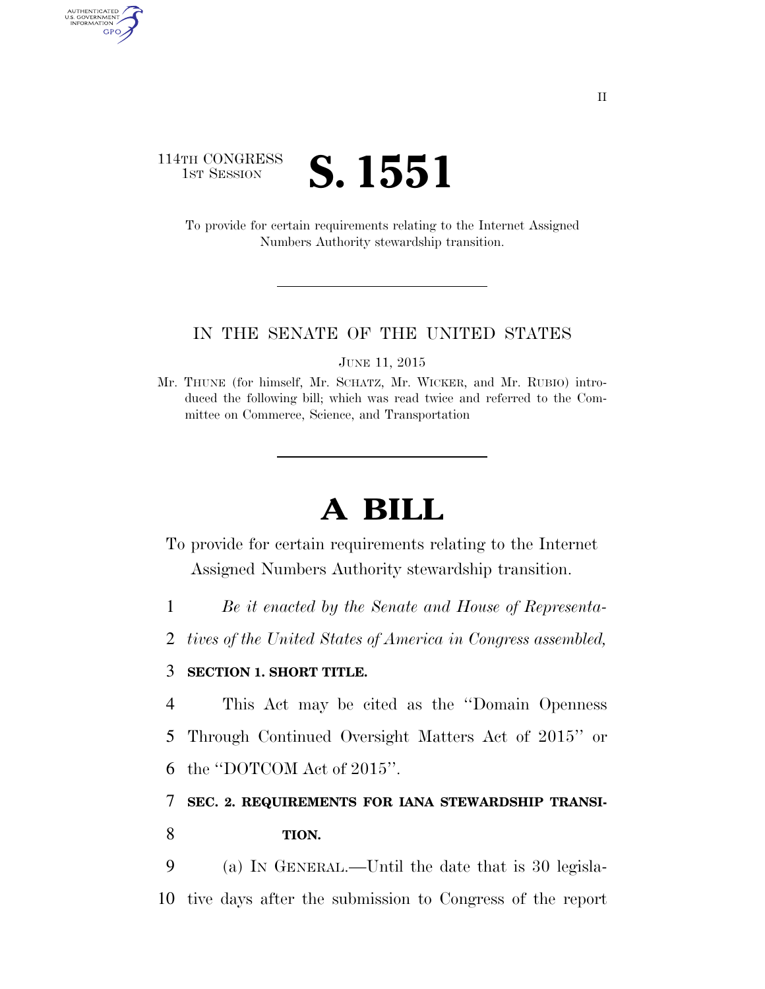## 114TH CONGRESS **1st Session S. 1551**

AUTHENTICATED<br>U.S. GOVERNMENT<br>INFORMATION GPO

> To provide for certain requirements relating to the Internet Assigned Numbers Authority stewardship transition.

## IN THE SENATE OF THE UNITED STATES

JUNE 11, 2015

## **A BILL**

To provide for certain requirements relating to the Internet Assigned Numbers Authority stewardship transition.

1 *Be it enacted by the Senate and House of Representa-*

2 *tives of the United States of America in Congress assembled,* 

## 3 **SECTION 1. SHORT TITLE.**

4 This Act may be cited as the ''Domain Openness 5 Through Continued Oversight Matters Act of 2015'' or

6 the ''DOTCOM Act of 2015''.

7 **SEC. 2. REQUIREMENTS FOR IANA STEWARDSHIP TRANSI-**8 **TION.** 

9 (a) IN GENERAL.—Until the date that is 30 legisla-10 tive days after the submission to Congress of the report

Mr. THUNE (for himself, Mr. SCHATZ, Mr. WICKER, and Mr. RUBIO) introduced the following bill; which was read twice and referred to the Committee on Commerce, Science, and Transportation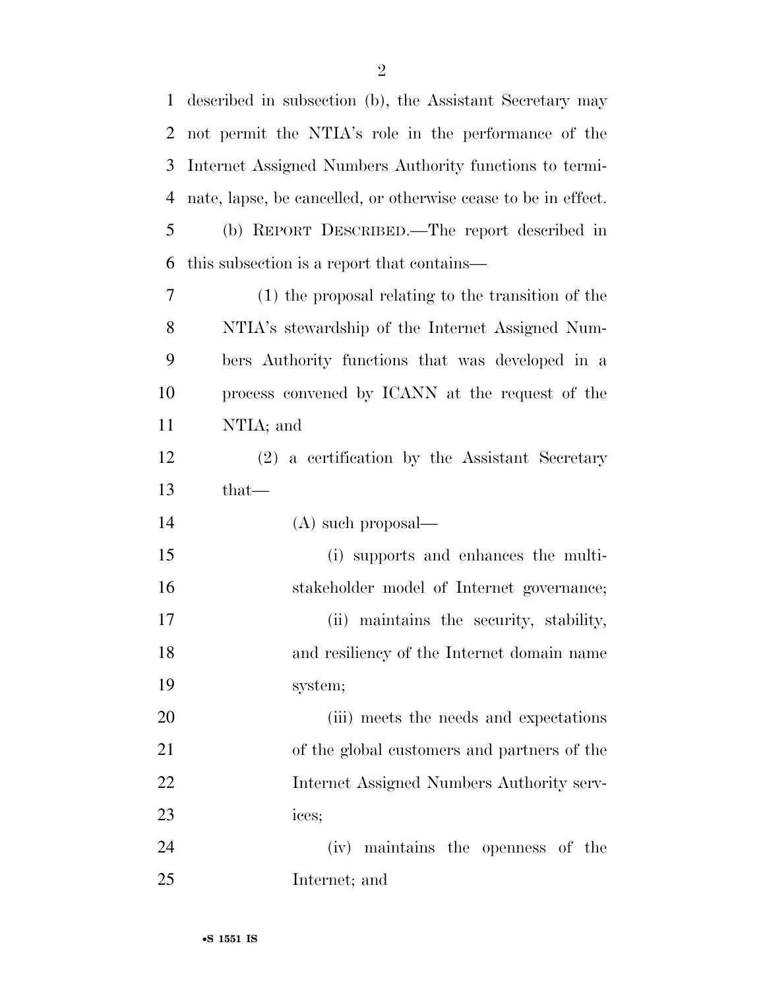| 1              | described in subsection (b), the Assistant Secretary may       |
|----------------|----------------------------------------------------------------|
| 2              | not permit the NTIA's role in the performance of the           |
| 3              | Internet Assigned Numbers Authority functions to termi-        |
| $\overline{4}$ | nate, lapse, be cancelled, or otherwise cease to be in effect. |
| 5              | (b) REPORT DESCRIBED.—The report described in                  |
| 6              | this subsection is a report that contains—                     |
| $\tau$         | (1) the proposal relating to the transition of the             |
| 8              | NTIA's stewardship of the Internet Assigned Num-               |
| 9              | bers Authority functions that was developed in a               |
| 10             | process convened by ICANN at the request of the                |
| 11             | NTIA; and                                                      |
| 12             | (2) a certification by the Assistant Secretary                 |
|                | that—                                                          |
| 13             |                                                                |
| 14             | $(A)$ such proposal—                                           |
| 15             | (i) supports and enhances the multi-                           |
| 16             | stakeholder model of Internet governance;                      |
| 17             | (ii) maintains the security, stability,                        |
| 18             | and resiliency of the Internet domain name                     |
| 19             | system;                                                        |
| 20             | (iii) meets the needs and expectations                         |
| 21             | of the global customers and partners of the                    |
| 22             | Internet Assigned Numbers Authority serv-                      |
| 23             | ices;                                                          |
| 24             | (iv) maintains the openness of the                             |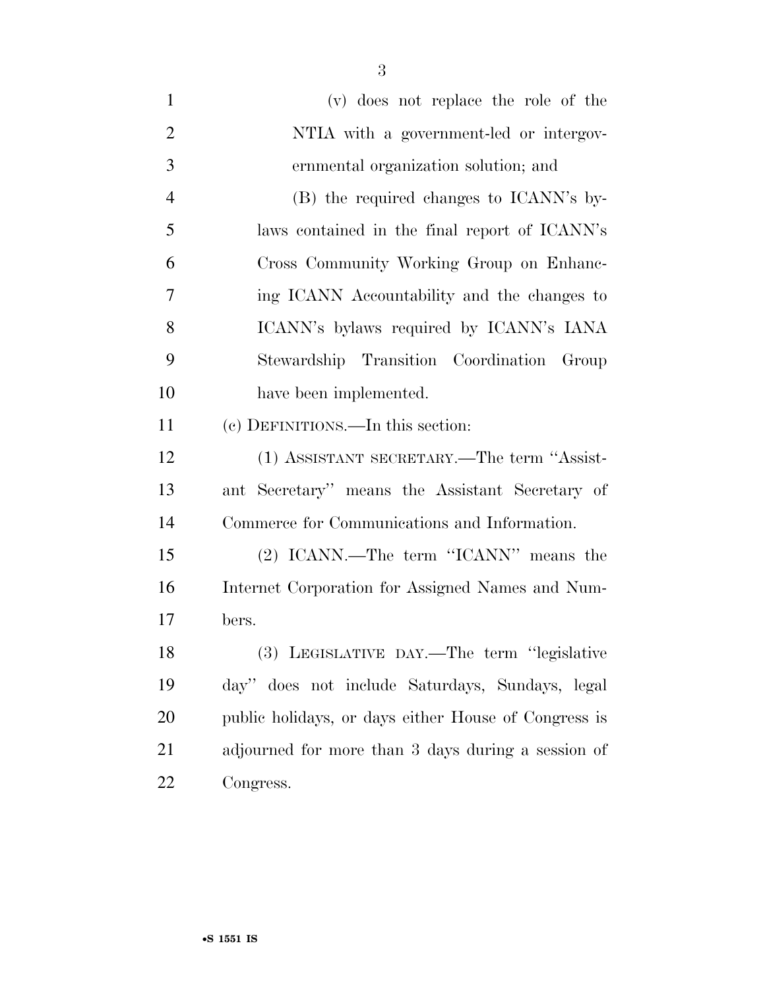| $\mathbf{1}$   | (v) does not replace the role of the                 |
|----------------|------------------------------------------------------|
| $\overline{2}$ | NTIA with a government-led or intergov-              |
| 3              | ernmental organization solution; and                 |
| $\overline{4}$ | (B) the required changes to ICANN's by-              |
| 5              | laws contained in the final report of ICANN's        |
| 6              | Cross Community Working Group on Enhanc-             |
| 7              | ing ICANN Accountability and the changes to          |
| 8              | ICANN's bylaws required by ICANN's IANA              |
| 9              | Stewardship Transition Coordination Group            |
| 10             | have been implemented.                               |
| 11             | (c) DEFINITIONS.—In this section:                    |
| 12             | (1) ASSISTANT SECRETARY.—The term "Assist-           |
| 13             | ant Secretary" means the Assistant Secretary of      |
| 14             | Commerce for Communications and Information.         |
| 15             | (2) ICANN.—The term "ICANN" means the                |
| 16             | Internet Corporation for Assigned Names and Num-     |
| 17             | bers.                                                |
| 18             | (3) LEGISLATIVE DAY.—The term "legislative           |
| 19             | day" does not include Saturdays, Sundays, legal      |
| 20             | public holidays, or days either House of Congress is |
| 21             | adjourned for more than 3 days during a session of   |
| 22             | Congress.                                            |